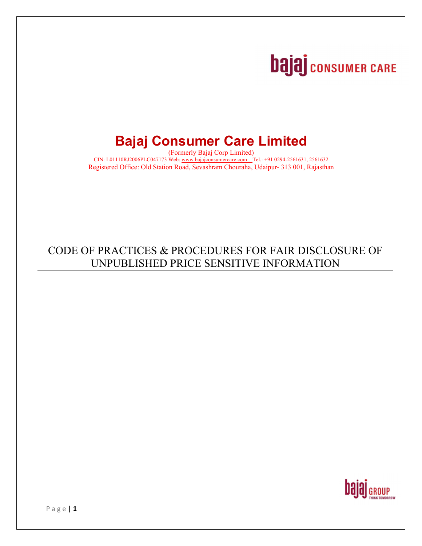# **bajaj** consumer CARE

## **Bajaj Consumer Care Limited**

(Formerly Bajaj Corp Limited) CIN: L01110RJ2006PLC047173 Web: www.bajajconsumercare.com Tel.: +91 0294-2561631, 2561632 Registered Office: Old Station Road, Sevashram Chouraha, Udaipur- 313 001, Rajasthan

## CODE OF PRACTICES & PROCEDURES FOR FAIR DISCLOSURE OF UNPUBLISHED PRICE SENSITIVE INFORMATION

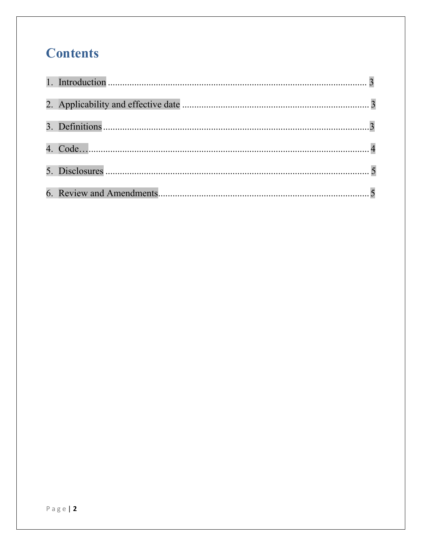## **Contents**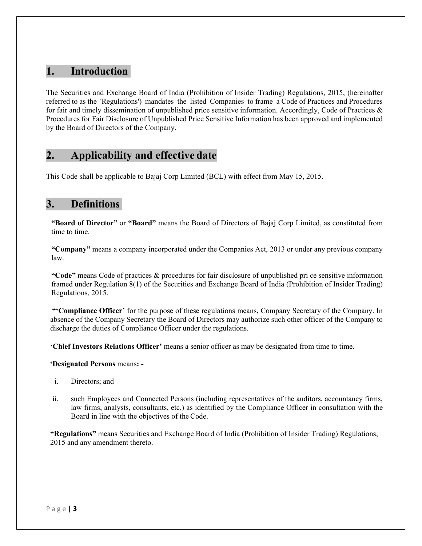## **1. Introduction**

The Securities and Exchange Board of India (Prohibition of Insider Trading) Regulations, 2015, (hereinafter referred to as the 'Regulations') mandates the listed Companies to frame a Code of Practices and Procedures for fair and timely dissemination of unpublished price sensitive information. Accordingly, Code of Practices  $\&$ Procedures for Fair Disclosure of Unpublished Price Sensitive Information has been approved and implemented by the Board of Directors of the Company.

## **2. Applicability and effective date**

This Code shall be applicable to Bajaj Corp Limited (BCL) with effect from May 15, 2015.

## **3. Definitions**

**"Board of Director"** or **"Board"** means the Board of Directors of Bajaj Corp Limited, as constituted from time to time.

**"Company"** means a company incorporated under the Companies Act, 2013 or under any previous company law.

**"Code"** means Code of practices & procedures for fair disclosure of unpublished pri ce sensitive information framed under Regulation 8(1) of the Securities and Exchange Board of India (Prohibition of Insider Trading) Regulations, 2015.

**"'Compliance Officer'** for the purpose of these regulations means, Company Secretary of the Company. In absence of the Company Secretary the Board of Directors may authorize such other officer of the Company to discharge the duties of Compliance Officer under the regulations.

**'Chief Investors Relations Officer'** means a senior officer as may be designated from time to time.

#### **'Designated Persons** means**: -**

- i. Directors; and
- ii. such Employees and Connected Persons (including representatives of the auditors, accountancy firms, law firms, analysts, consultants, etc.) as identified by the Compliance Officer in consultation with the Board in line with the objectives of the Code.

**"Regulations"** means Securities and Exchange Board of India (Prohibition of Insider Trading) Regulations, 2015 and any amendment thereto.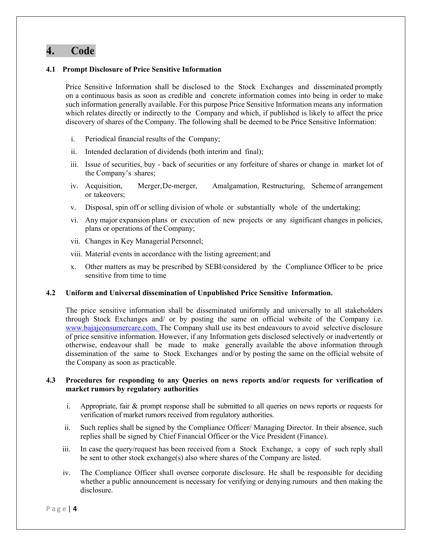## **4. Code**

#### **4.1 Prompt Disclosure of Price Sensitive Information**

Price Sensitive Information shall be disclosed to the Stock Exchanges and disseminated promptly on a continuous basis as soon as credible and concrete information comes into being in order to make such information generally available. For this purpose Price Sensitive Information means any information which relates directly or indirectly to the Company and which, if published is likely to affect the price discovery of shares of the Company. The following shall be deemed to be Price Sensitive Information:

- i. Periodical financial results of the Company;
- ii. Intended declaration of dividends (both interim and final);
- iii. Issue of securities, buy back of securities or any forfeiture of shares or change in market lot of the Company's shares;
- iv. Acquisition, Merger, De-merger, Amalgamation, Restructuring, Scheme of arrangement or takeovers;
- v. Disposal, spin off or selling division of whole or substantially whole of the undertaking;
- vi. Any major expansion plans or execution of new projects or any significant changes in policies, plans or operations of the Company;
- vii. Changes in Key Managerial Personnel;
- viii. Material events in accordance with the listing agreement; and
- x. Other matters as may be prescribed by SEBI/considered by the Compliance Officer to be price sensitive from time to time

#### **4.2 Uniform and Universal dissemination of Unpublished Price Sensitive Information.**

The price sensitive information shall be disseminated uniformly and universally to all stakeholders through Stock Exchanges and/ or by posting the same on official website of the Company i.e. www.bajajconsumercare.com. The Company shall use its best endeavours to avoid selective disclosure of price sensitive information. However, if any Information gets disclosed selectively or inadvertently or otherwise, endeavour shall be made to make generally available the above information through dissemination of the same to Stock Exchanges and/or by posting the same on the official website of the Company as soon as practicable.

#### **4.3 Procedures for responding to any Queries on news reports and/or requests for verification of market rumors by regulatory authorities**

- i. Appropriate, fair & prompt response shall be submitted to all queries on news reports or requests for verification of market rumors received from regulatory authorities.
- ii. Such replies shall be signed by the Compliance Officer/ Managing Director. In their absence, such replies shall be signed by Chief Financial Officer or the Vice President (Finance).
- iii. In case the query/request has been received from a Stock Exchange, a copy of such reply shall be sent to other stock exchange(s) also where shares of the Company are listed.
- iv. The Compliance Officer shall oversee corporate disclosure. He shall be responsible for deciding whether a public announcement is necessary for verifying or denying rumours and then making the disclosure.